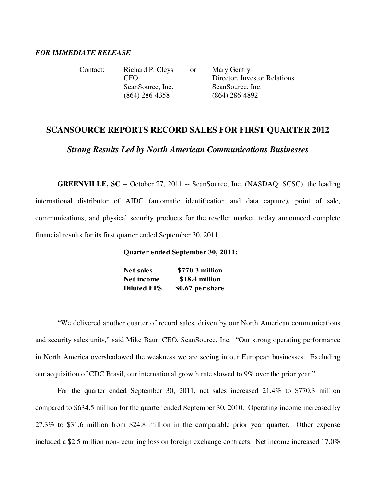## *FOR IMMEDIATE RELEASE*

| Contact: | Richard P. Cleys | <b>or</b> | Mary Gentry                  |
|----------|------------------|-----------|------------------------------|
|          | CFO              |           | Director, Investor Relations |
|          | ScanSource, Inc. |           | ScanSource, Inc.             |
|          | $(864)$ 286-4358 |           | $(864)$ 286-4892             |

## **SCANSOURCE REPORTS RECORD SALES FOR FIRST QUARTER 2012**

*Strong Results Led by North American Communications Businesses* 

**GREENVILLE, SC** -- October 27, 2011 -- ScanSource, Inc. (NASDAQ: SCSC), the leading international distributor of AIDC (automatic identification and data capture), point of sale, communications, and physical security products for the reseller market, today announced complete financial results for its first quarter ended September 30, 2011.

**Quarter ended September 30, 2011:**

| Net sales          | \$770.3 million   |
|--------------------|-------------------|
| Net income         | \$18.4 million    |
| <b>Diluted EPS</b> | $$0.67$ per share |

 "We delivered another quarter of record sales, driven by our North American communications and security sales units," said Mike Baur, CEO, ScanSource, Inc. "Our strong operating performance in North America overshadowed the weakness we are seeing in our European businesses. Excluding our acquisition of CDC Brasil, our international growth rate slowed to 9% over the prior year."

 For the quarter ended September 30, 2011, net sales increased 21.4% to \$770.3 million compared to \$634.5 million for the quarter ended September 30, 2010. Operating income increased by 27.3% to \$31.6 million from \$24.8 million in the comparable prior year quarter. Other expense included a \$2.5 million non-recurring loss on foreign exchange contracts. Net income increased 17.0%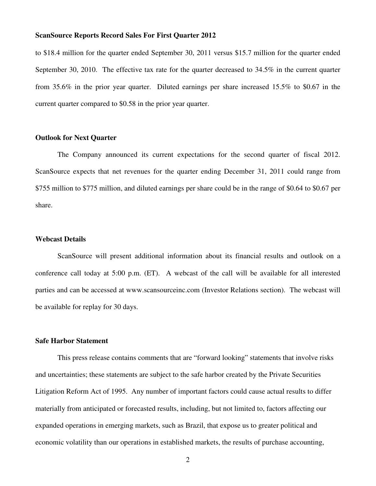to \$18.4 million for the quarter ended September 30, 2011 versus \$15.7 million for the quarter ended September 30, 2010. The effective tax rate for the quarter decreased to 34.5% in the current quarter from 35.6% in the prior year quarter. Diluted earnings per share increased 15.5% to \$0.67 in the current quarter compared to \$0.58 in the prior year quarter.

#### **Outlook for Next Quarter**

 The Company announced its current expectations for the second quarter of fiscal 2012. ScanSource expects that net revenues for the quarter ending December 31, 2011 could range from \$755 million to \$775 million, and diluted earnings per share could be in the range of \$0.64 to \$0.67 per share.

#### **Webcast Details**

 ScanSource will present additional information about its financial results and outlook on a conference call today at 5:00 p.m. (ET). A webcast of the call will be available for all interested parties and can be accessed at www.scansourceinc.com (Investor Relations section). The webcast will be available for replay for 30 days.

## **Safe Harbor Statement**

 This press release contains comments that are "forward looking" statements that involve risks and uncertainties; these statements are subject to the safe harbor created by the Private Securities Litigation Reform Act of 1995. Any number of important factors could cause actual results to differ materially from anticipated or forecasted results, including, but not limited to, factors affecting our expanded operations in emerging markets, such as Brazil, that expose us to greater political and economic volatility than our operations in established markets, the results of purchase accounting,

2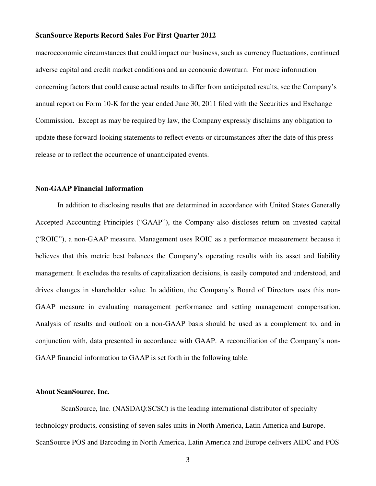macroeconomic circumstances that could impact our business, such as currency fluctuations, continued adverse capital and credit market conditions and an economic downturn. For more information concerning factors that could cause actual results to differ from anticipated results, see the Company's annual report on Form 10-K for the year ended June 30, 2011 filed with the Securities and Exchange Commission. Except as may be required by law, the Company expressly disclaims any obligation to update these forward-looking statements to reflect events or circumstances after the date of this press release or to reflect the occurrence of unanticipated events.

### **Non-GAAP Financial Information**

 In addition to disclosing results that are determined in accordance with United States Generally Accepted Accounting Principles ("GAAP"), the Company also discloses return on invested capital ("ROIC"), a non-GAAP measure. Management uses ROIC as a performance measurement because it believes that this metric best balances the Company's operating results with its asset and liability management. It excludes the results of capitalization decisions, is easily computed and understood, and drives changes in shareholder value. In addition, the Company's Board of Directors uses this non-GAAP measure in evaluating management performance and setting management compensation. Analysis of results and outlook on a non-GAAP basis should be used as a complement to, and in conjunction with, data presented in accordance with GAAP. A reconciliation of the Company's non-GAAP financial information to GAAP is set forth in the following table.

## **About ScanSource, Inc.**

 ScanSource, Inc. (NASDAQ:SCSC) is the leading international distributor of specialty technology products, consisting of seven sales units in North America, Latin America and Europe. ScanSource POS and Barcoding in North America, Latin America and Europe delivers AIDC and POS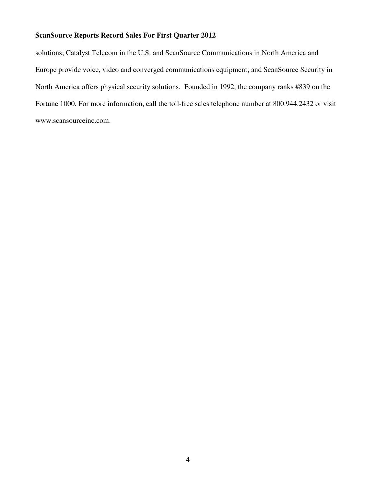solutions; Catalyst Telecom in the U.S. and ScanSource Communications in North America and Europe provide voice, video and converged communications equipment; and ScanSource Security in North America offers physical security solutions. Founded in 1992, the company ranks #839 on the Fortune 1000. For more information, call the toll-free sales telephone number at 800.944.2432 or visit www.scansourceinc.com.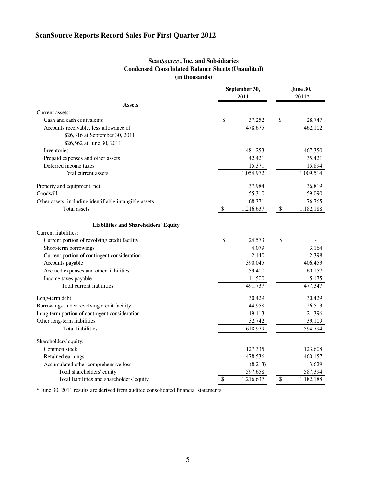## **Scan***Source* **, Inc. and Subsidiaries Condensed Consolidated Balance Sheets (Unaudited) (in thousands)**

|                                                        |        | September 30,<br>2011 | <b>June 30,</b><br>$2011*$ |           |
|--------------------------------------------------------|--------|-----------------------|----------------------------|-----------|
| <b>Assets</b>                                          |        |                       |                            |           |
| Current assets:                                        |        |                       |                            |           |
| Cash and cash equivalents                              | \$     | 37,252                | \$                         | 28,747    |
| Accounts receivable, less allowance of                 |        | 478,675               |                            | 462,102   |
| \$26,316 at September 30, 2011                         |        |                       |                            |           |
| \$26,562 at June 30, 2011                              |        |                       |                            |           |
| Inventories                                            |        | 481,253               |                            | 467,350   |
| Prepaid expenses and other assets                      |        | 42,421                |                            | 35,421    |
| Deferred income taxes                                  | 15,371 |                       |                            | 15,894    |
| Total current assets                                   |        | 1,054,972             |                            | 1,009,514 |
| Property and equipment, net                            |        | 37,984                |                            | 36,819    |
| Goodwill                                               |        | 55,310                |                            | 59,090    |
| Other assets, including identifiable intangible assets |        | 68,371                |                            | 76,765    |
| Total assets                                           | \$     | 1,216,637             | $\$\,$                     | 1,182,188 |
| <b>Liabilities and Shareholders' Equity</b>            |        |                       |                            |           |
| Current liabilities:                                   |        |                       |                            |           |
| Current portion of revolving credit facility           | \$     | 24,573                | \$                         |           |
| Short-term borrowings                                  |        | 4,079                 |                            | 3,164     |
| Current portion of contingent consideration            |        | 2,140                 |                            | 2,398     |
| Accounts payable                                       |        | 390,045               |                            | 406,453   |
| Accrued expenses and other liabilities                 |        | 59,400                |                            | 60,157    |
| Income taxes payable                                   |        | 11,500                |                            | 5,175     |
| Total current liabilities                              |        | 491,737               |                            | 477,347   |
| Long-term debt                                         |        | 30,429                |                            | 30,429    |
| Borrowings under revolving credit facility             |        | 44,958                |                            | 26,513    |
| Long-term portion of contingent consideration          |        | 19,113                |                            | 21,396    |
| Other long-term liabilities                            |        | 32,742                |                            | 39,109    |
| <b>Total liabilities</b>                               |        | 618,979               |                            | 594,794   |
| Shareholders' equity:                                  |        |                       |                            |           |
| Common stock                                           |        | 127,335               |                            | 123,608   |
| Retained earnings                                      |        | 478,536               |                            | 460,157   |
| Accumulated other comprehensive loss                   |        | (8,213)               |                            | 3,629     |
| Total shareholders' equity                             |        | 597,658               |                            | 587,394   |
| Total liabilities and shareholders' equity             | \$     | 1,216,637             | \$                         | 1,182,188 |

\* June 30, 2011 results are derived from audited consolidated financial statements.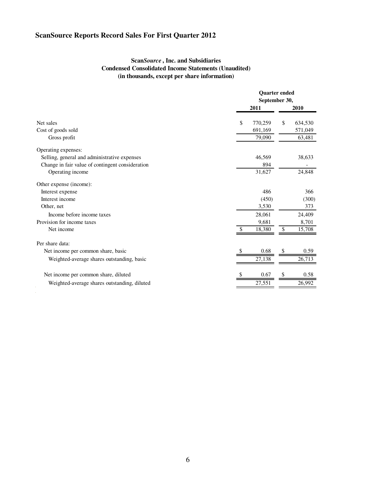$\epsilon$ 

## **Scan***Source* **, Inc. and Subsidiaries Condensed Consolidated Income Statements (Unaudited) (in thousands, except per share information)**

|                                                                                                                                                                                                                                                                                                                                                                             |               | <b>Ouarter</b> ended<br>September 30, |  |
|-----------------------------------------------------------------------------------------------------------------------------------------------------------------------------------------------------------------------------------------------------------------------------------------------------------------------------------------------------------------------------|---------------|---------------------------------------|--|
| Net sales<br>Cost of goods sold<br>Gross profit<br>Operating expenses:<br>Selling, general and administrative expenses<br>Change in fair value of contingent consideration<br>Operating income<br>Other expense (income):<br>Interest expense<br>Interest income<br>Other, net<br>Income before income taxes<br>Provision for income taxes<br>Net income<br>Per share data: | 2011          | 2010                                  |  |
|                                                                                                                                                                                                                                                                                                                                                                             | 770,259<br>\$ | \$<br>634,530                         |  |
|                                                                                                                                                                                                                                                                                                                                                                             | 691,169       | 571,049                               |  |
|                                                                                                                                                                                                                                                                                                                                                                             | 79,090        | 63,481                                |  |
|                                                                                                                                                                                                                                                                                                                                                                             |               |                                       |  |
|                                                                                                                                                                                                                                                                                                                                                                             | 46,569        | 38,633                                |  |
|                                                                                                                                                                                                                                                                                                                                                                             | 894           |                                       |  |
|                                                                                                                                                                                                                                                                                                                                                                             | 31,627        | 24,848                                |  |
|                                                                                                                                                                                                                                                                                                                                                                             |               |                                       |  |
|                                                                                                                                                                                                                                                                                                                                                                             | 486           | 366                                   |  |
|                                                                                                                                                                                                                                                                                                                                                                             | (450)         | (300)                                 |  |
|                                                                                                                                                                                                                                                                                                                                                                             | 3,530         | 373                                   |  |
|                                                                                                                                                                                                                                                                                                                                                                             | 28,061        | 24,409                                |  |
|                                                                                                                                                                                                                                                                                                                                                                             | 9,681         | 8,701                                 |  |
|                                                                                                                                                                                                                                                                                                                                                                             | 18,380        | \$<br>15,708                          |  |
|                                                                                                                                                                                                                                                                                                                                                                             |               |                                       |  |
| Net income per common share, basic                                                                                                                                                                                                                                                                                                                                          | 0.68          | 0.59                                  |  |
| Weighted-average shares outstanding, basic                                                                                                                                                                                                                                                                                                                                  | 27,138        | 26,713                                |  |
| Net income per common share, diluted                                                                                                                                                                                                                                                                                                                                        | 0.67          | 0.58<br>S                             |  |
| Weighted-average shares outstanding, diluted                                                                                                                                                                                                                                                                                                                                | 27,551        | 26,992                                |  |
|                                                                                                                                                                                                                                                                                                                                                                             |               |                                       |  |